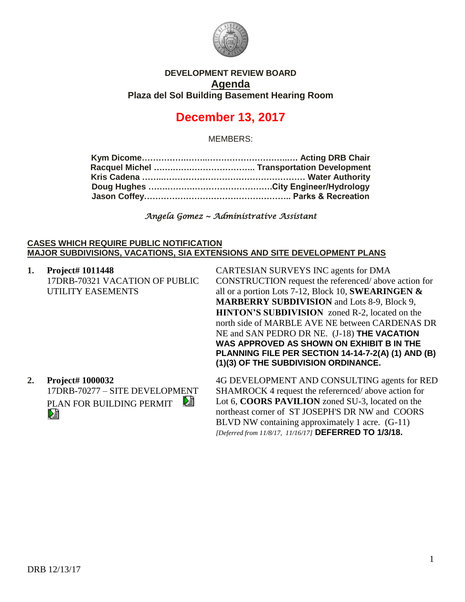

## **DEVELOPMENT REVIEW BOARD Agenda Plaza del Sol Building Basement Hearing Room**

# **December 13, 2017**

MEMBERS:

*Angela Gomez ~ Administrative Assistant* 

### **CASES WHICH REQUIRE PUBLIC NOTIFICATION MAJOR SUBDIVISIONS, VACATIONS, SIA EXTENSIONS AND SITE DEVELOPMENT PLANS**

**1. Project# 1011448** 17DRB-70321 VACATION OF PUBLIC UTILITY EASEMENTS

CARTESIAN SURVEYS INC agents for DMA CONSTRUCTION request the referenced/ above action for all or a portion Lots 7-12, Block 10, **SWEARINGEN & MARBERRY SUBDIVISION** and Lots 8-9, Block 9, **HINTON'S SUBDIVISION** zoned R-2, located on the north side of MARBLE AVE NE between CARDENAS DR NE and SAN PEDRO DR NE. (J-18) **THE VACATION WAS APPROVED AS SHOWN ON EXHIBIT B IN THE PLANNING FILE PER SECTION 14-14-7-2(A) (1) AND (B) (1)(3) OF THE SUBDIVISION ORDINANCE.**

**2. Project# 1000032** 17DRB-70277 – SITE DEVELOPMENT DÊ PLAN FOR BUILDING PERMIT DÊ

4G DEVELOPMENT AND CONSULTING agents for RED SHAMROCK 4 request the referernced/ above action for Lot 6, **COORS PAVILION** zoned SU-3, located on the northeast corner of ST JOSEPH'S DR NW and COORS BLVD NW containing approximately 1 acre. (G-11) *[Deferred from 11/8/17, 11/16/17]* **DEFERRED TO 1/3/18.**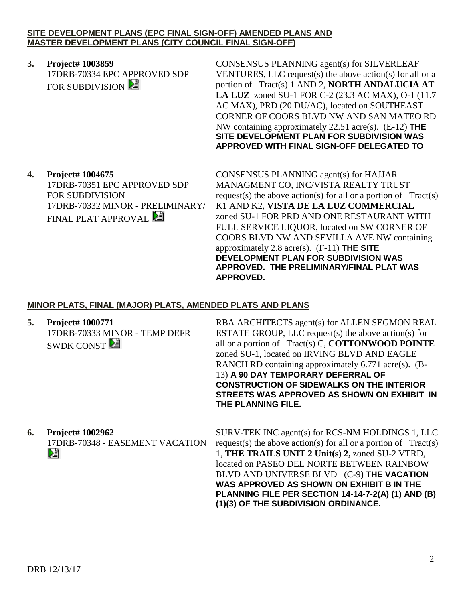### **SITE DEVELOPMENT PLANS (EPC FINAL SIGN-OFF) AMENDED PLANS AND MASTER DEVELOPMENT PLANS (CITY COUNCIL FINAL SIGN-OFF)**

**3. Project# 1003859** 17DRB-70334 EPC APPROVED SDP FOR SUBDIVISION **E** 

CONSENSUS PLANNING agent(s) for SILVERLEAF VENTURES, LLC request(s) the above action(s) for all or a portion of Tract(s) 1 AND 2, **NORTH ANDALUCIA AT LA LUZ** zoned SU-1 FOR C-2 (23.3 AC MAX), O-1 (11.7 AC MAX), PRD (20 DU/AC), located on SOUTHEAST CORNER OF COORS BLVD NW AND SAN MATEO RD NW containing approximately 22.51 acre(s). (E-12) **THE SITE DEVELOPMENT PLAN FOR SUBDIVISION WAS APPROVED WITH FINAL SIGN-OFF DELEGATED TO**

**4. Project# 1004675** 17DRB-70351 EPC APPROVED SDP FOR SUBDIVISION 17DRB-70332 MINOR - PRELIMINARY/ FINAL PLAT APPROVAL

CONSENSUS PLANNING agent(s) for HAJJAR MANAGMENT CO, INC/VISTA REALTY TRUST request(s) the above action(s) for all or a portion of  $Tract(s)$ K1 AND K2, **VISTA DE LA LUZ COMMERCIAL** zoned SU-1 FOR PRD AND ONE RESTAURANT WITH FULL SERVICE LIQUOR, located on SW CORNER OF COORS BLVD NW AND SEVILLA AVE NW containing approximately 2.8 acre(s). (F-11) **THE SITE DEVELOPMENT PLAN FOR SUBDIVISION WAS APPROVED. THE PRELIMINARY/FINAL PLAT WAS APPROVED.**

# **MINOR PLATS, FINAL (MAJOR) PLATS, AMENDED PLATS AND PLANS**

**5. Project# 1000771** 17DRB-70333 MINOR - TEMP DEFR SWDK CONST $\mathbb{E}$ 

RBA ARCHITECTS agent(s) for ALLEN SEGMON REAL ESTATE GROUP, LLC request(s) the above action(s) for all or a portion of Tract(s) C, **COTTONWOOD POINTE** zoned SU-1, located on IRVING BLVD AND EAGLE RANCH RD containing approximately 6.771 acre(s). (B-13) **A 90 DAY TEMPORARY DEFERRAL OF CONSTRUCTION OF SIDEWALKS ON THE INTERIOR STREETS WAS APPROVED AS SHOWN ON EXHIBIT IN THE PLANNING FILE.** 

**6. Project# 1002962** 17DRB-70348 - EASEMENT VACATION Dà

SURV-TEK INC agent(s) for RCS-NM HOLDINGS 1, LLC request(s) the above action(s) for all or a portion of  $Tract(s)$ 1, **THE TRAILS UNIT 2 Unit(s) 2,** zoned SU-2 VTRD, located on PASEO DEL NORTE BETWEEN RAINBOW BLVD AND UNIVERSE BLVD (C-9) **THE VACATION WAS APPROVED AS SHOWN ON EXHIBIT B IN THE PLANNING FILE PER SECTION 14-14-7-2(A) (1) AND (B) (1)(3) OF THE SUBDIVISION ORDINANCE.**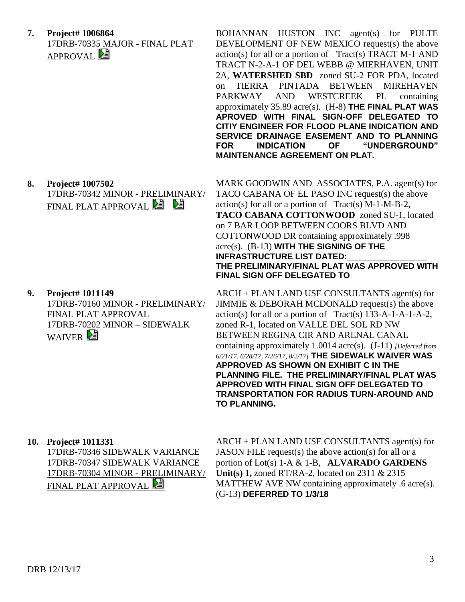**7. Project# 1006864** 17DRB-70335 MAJOR - FINAL PLAT APPROVAL<sup>E</sup>

17DRB-70342 MINOR - PRELIMINARY/

17DRB-70160 MINOR - PRELIMINARY/

17DRB-70202 MINOR – SIDEWALK

FINAL PLAT APPROVAL

FINAL PLAT APPROVAL **E** 

**8. Project# 1007502**

**9. Project# 1011149**

WAIVER<sup>2</sup>

BOHANNAN HUSTON INC agent(s) for PULTE DEVELOPMENT OF NEW MEXICO request(s) the above  $action(s)$  for all or a portion of Tract(s) TRACT M-1 AND TRACT N-2-A-1 OF DEL WEBB @ MIERHAVEN, UNIT 2A, **WATERSHED SBD** zoned SU-2 FOR PDA, located on TIERRA PINTADA BETWEEN MIREHAVEN PARKWAY AND WESTCREEK PL containing approximately 35.89 acre(s). (H-8) **THE FINAL PLAT WAS APROVED WITH FINAL SIGN-OFF DELEGATED TO CITIY ENGINEER FOR FLOOD PLANE INDICATION AND SERVICE DRAINAGE EASEMENT AND TO PLANNING FOR INDICATION OF "UNDERGROUND" MAINTENANCE AGREEMENT ON PLAT.**

MARK GOODWIN AND ASSOCIATES, P.A. agent(s) for TACO CABANA OF EL PASO INC request(s) the above  $action(s)$  for all or a portion of  $Trace(S)$  M-1-M-B-2, **TACO CABANA COTTONWOOD** zoned SU-1, located on 7 BAR LOOP BETWEEN COORS BLVD AND COTTONWOOD DR containing approximately .998 acre(s). (B-13) **WITH THE SIGNING OF THE INFRASTRUCTURE LIST DATED: THE PRELIMINARY/FINAL PLAT WAS APPROVED WITH FINAL SIGN OFF DELEGATED TO** 

ARCH + PLAN LAND USE CONSULTANTS agent(s) for JIMMIE & DEBORAH MCDONALD request(s) the above  $action(s)$  for all or a portion of Tract(s) 133-A-1-A-1-A-2, zoned R-1, located on VALLE DEL SOL RD NW BETWEEN REGINA CIR AND ARENAL CANAL containing approximately 1.0014 acre(s). (J-11) *[Deferred from 6/21/17, 6/28/17, 7/26/17, 8/2/17]* **THE SIDEWALK WAIVER WAS APPROVED AS SHOWN ON EXHIBIT C IN THE PLANNING FILE. THE PRELIMINARY/FINAL PLAT WAS APPROVED WITH FINAL SIGN OFF DELEGATED TO TRANSPORTATION FOR RADIUS TURN-AROUND AND TO PLANNING.**

**10. Project# 1011331** 17DRB-70346 SIDEWALK VARIANCE 17DRB-70347 SIDEWALK VARIANCE 17DRB-70304 MINOR - PRELIMINARY/ FINAL PLAT APPROVAL

ARCH + PLAN LAND USE CONSULTANTS agent(s) for JASON FILE request(s) the above action(s) for all or a portion of Lot(s) 1-A & 1-B, **ALVARADO GARDENS Unit(s) 1,** zoned RT/RA-2, located on 2311 & 2315 MATTHEW AVE NW containing approximately .6 acre(s). (G-13) **DEFERRED TO 1/3/18**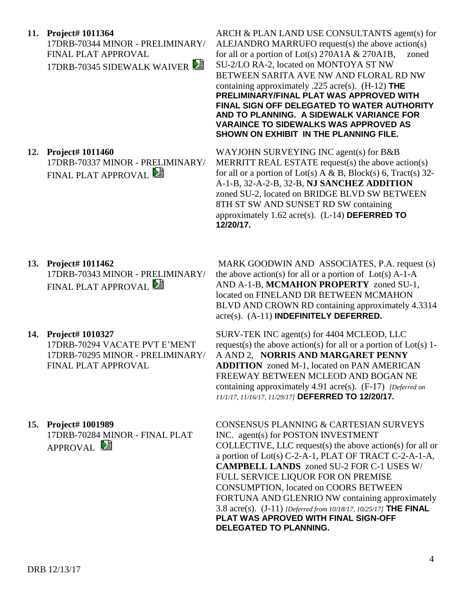## **11. Project# 1011364**

17DRB-70344 MINOR - PRELIMINARY/ FINAL PLAT APPROVAL 17DRB-70345 SIDEWALK WAIVER

ARCH & PLAN LAND USE CONSULTANTS agent(s) for ALEJANDRO MARRUFO request(s) the above action(s) for all or a portion of Lot(s) 270A1A & 270A1B, zoned SU-2/LO RA-2, located on MONTOYA ST NW BETWEEN SARITA AVE NW AND FLORAL RD NW containing approximately .225 acre(s). (H-12) **THE PRELIMINARY/FINAL PLAT WAS APPROVED WITH FINAL SIGN OFF DELEGATED TO WATER AUTHORITY AND TO PLANNING. A SIDEWALK VARIANCE FOR VARAINCE TO SIDEWALKS WAS APPROVED AS SHOWN ON EXHIBIT IN THE PLANNING FILE.**

**12. Project# 1011460** 17DRB-70337 MINOR - PRELIMINARY/ FINAL PLAT APPROVAL

WAYJOHN SURVEYING INC agent(s) for B&B MERRITT REAL ESTATE request(s) the above action(s) for all or a portion of Lot(s) A & B, Block(s) 6, Tract(s) 32-A-1-B, 32-A-2-B, 32-B, **NJ SANCHEZ ADDITION** zoned SU-2, located on BRIDGE BLVD SW BETWEEN 8TH ST SW AND SUNSET RD SW containing approximately 1.62 acre(s). (L-14) **DEFERRED TO 12/20/17.**

## **13. Project# 1011462**

17DRB-70343 MINOR - PRELIMINARY/ FINAL PLAT APPROVAL

## **14. Project# 1010327**

17DRB-70294 VACATE PVT E'MENT 17DRB-70295 MINOR - PRELIMINARY/ FINAL PLAT APPROVAL

**15. Project# 1001989**

17DRB-70284 MINOR - FINAL PLAT APPROVAL<sup>E</sup>

MARK GOODWIN AND ASSOCIATES, P.A. request (s) the above action(s) for all or a portion of  $Lot(s)$  A-1-A AND A-1-B, **MCMAHON PROPERTY** zoned SU-1, located on FINELAND DR BETWEEN MCMAHON BLVD AND CROWN RD containing approximately 4.3314 acre(s). (A-11) **INDEFINITELY DEFERRED.**

SURV-TEK INC agent(s) for 4404 MCLEOD, LLC request(s) the above action(s) for all or a portion of  $Lot(s)$  1-A AND 2, **NORRIS AND MARGARET PENNY ADDITION** zoned M-1, located on PAN AMERICAN FREEWAY BETWEEN MCLEOD AND BOGAN NE containing approximately 4.91 acre(s). (F-17) *[Deferred on 11/1/17, 11/16/17, 11/29/17]* **DEFERRED TO 12/20/17.**

CONSENSUS PLANNING & CARTESIAN SURVEYS INC. agent(s) for POSTON INVESTMENT COLLECTIVE, LLC request(s) the above action(s) for all or a portion of Lot(s) C-2-A-1, PLAT OF TRACT C-2-A-1-A, **CAMPBELL LANDS** zoned SU-2 FOR C-1 USES W/ FULL SERVICE LIQUOR FOR ON PREMISE CONSUMPTION, located on COORS BETWEEN FORTUNA AND GLENRIO NW containing approximately 3.8 acre(s). (J-11) *[Deferred from 10/18/17, 10/25/17]* **THE FINAL PLAT WAS APROVED WITH FINAL SIGN-OFF DELEGATED TO PLANNING.**